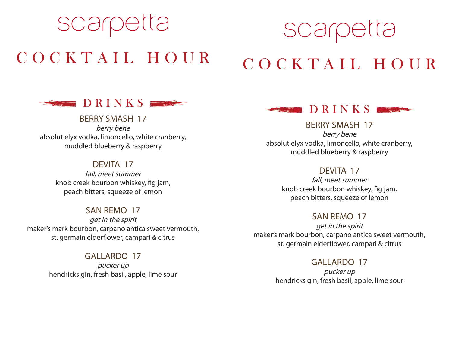## scarpetta COCKTAIL HOUR

# scarpetta COCKTAIL HOUR



### BERRY SMASH 17

berry bene absolut elyx vodka, limoncello, white cranberry, muddled blueberry & raspberry

#### DEVITA 17

fall, meet summer knob creek bourbon whiskey, fig jam, peach bitters, squeeze of lemon

#### SAN REMO 17

get in the spirit maker's mark bourbon, carpano antica sweet vermouth, st. germain elderflower, campari & citrus

#### GALLARDO 17

pucker up hendricks gin, fresh basil, apple, lime sour



#### BERRY SMASH 17

berry bene absolut elyx vodka, limoncello, white cranberry, muddled blueberry & raspberry

#### DEVITA 17

fall, meet summer knob creek bourbon whiskey, fig jam, peach bitters, squeeze of lemon

#### SAN REMO 17

get in the spirit maker's mark bourbon, carpano antica sweet vermouth, st. germain elderflower, campari & citrus

#### GALLARDO 17

pucker up hendricks gin, fresh basil, apple, lime sour